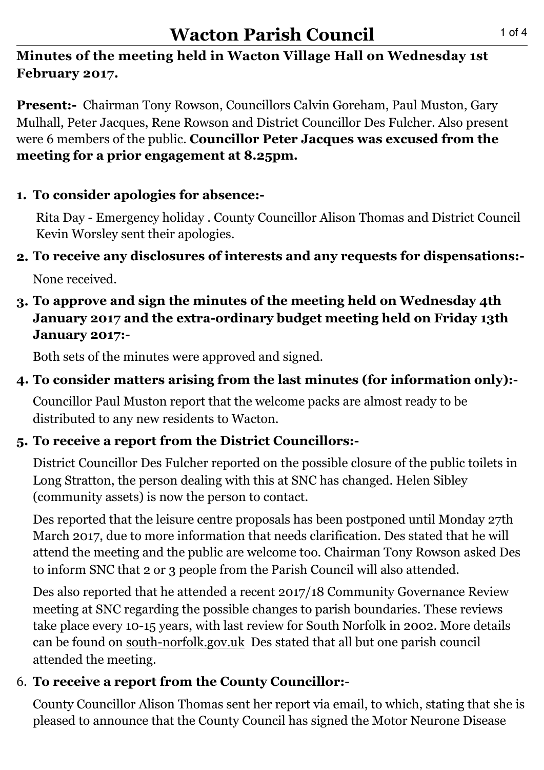#### **Minutes of the meeting held in Wacton Village Hall on Wednesday 1st February 2017.**

**Present:-** Chairman Tony Rowson, Councillors Calvin Goreham, Paul Muston, Gary Mulhall, Peter Jacques, Rene Rowson and District Councillor Des Fulcher. Also present were 6 members of the public. **Councillor Peter Jacques was excused from the meeting for a prior engagement at 8.25pm.**

### **1. To consider apologies for absence:-**

 Rita Day - Emergency holiday . County Councillor Alison Thomas and District Council Kevin Worsley sent their apologies.

# **2. To receive any disclosures of interests and any requests for dispensations:-**

None received.

#### **3. To approve and sign the minutes of the meeting held on Wednesday 4th January 2017 and the extra-ordinary budget meeting held on Friday 13th January 2017:-**

Both sets of the minutes were approved and signed.

## **4. To consider matters arising from the last minutes (for information only):-**

 Councillor Paul Muston report that the welcome packs are almost ready to be distributed to any new residents to Wacton.

### **5. To receive a report from the District Councillors:-**

 District Councillor Des Fulcher reported on the possible closure of the public toilets in Long Stratton, the person dealing with this at SNC has changed. Helen Sibley (community assets) is now the person to contact.

 Des reported that the leisure centre proposals has been postponed until Monday 27th March 2017, due to more information that needs clarification. Des stated that he will attend the meeting and the public are welcome too. Chairman Tony Rowson asked Des to inform SNC that 2 or 3 people from the Parish Council will also attended.

 Des also reported that he attended a recent 2017/18 Community Governance Review meeting at SNC regarding the possible changes to parish boundaries. These reviews take place every 10-15 years, with last review for South Norfolk in 2002. More details can be found on [south-norfolk.gov.uk](http://south-norfolk.gov.uk) Des stated that all but one parish council attended the meeting.

### 6. **To receive a report from the County Councillor:-**

County Councillor Alison Thomas sent her report via email, to which, stating that she is pleased to announce that the County Council has signed the Motor Neurone Disease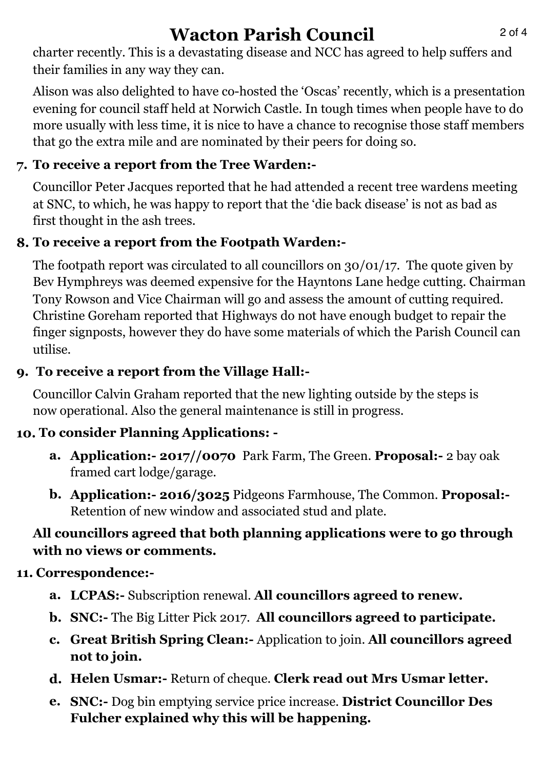# **Wacton Parish Council** 2014

 charter recently. This is a devastating disease and NCC has agreed to help suffers and their families in any way they can.

 Alison was also delighted to have co-hosted the 'Oscas' recently, which is a presentation evening for council staff held at Norwich Castle. In tough times when people have to do more usually with less time, it is nice to have a chance to recognise those staff members that go the extra mile and are nominated by their peers for doing so.

# **7. To receive a report from the Tree Warden:-**

Councillor Peter Jacques reported that he had attended a recent tree wardens meeting at SNC, to which, he was happy to report that the 'die back disease' is not as bad as first thought in the ash trees.

# **8. To receive a report from the Footpath Warden:-**

 The footpath report was circulated to all councillors on 30/01/17. The quote given by Bev Hymphreys was deemed expensive for the Hayntons Lane hedge cutting. Chairman Tony Rowson and Vice Chairman will go and assess the amount of cutting required. Christine Goreham reported that Highways do not have enough budget to repair the finger signposts, however they do have some materials of which the Parish Council can utilise.

# **9. To receive a report from the Village Hall:-**

Councillor Calvin Graham reported that the new lighting outside by the steps is now operational. Also the general maintenance is still in progress.

# **10. To consider Planning Applications: -**

- **a. Application:- 2017//0070** Park Farm, The Green. **Proposal:-** 2 bay oak framed cart lodge/garage.
- **b. Application:- 2016/3025** Pidgeons Farmhouse, The Common. **Proposal:-**  Retention of new window and associated stud and plate.

# **All councillors agreed that both planning applications were to go through with no views or comments.**

# **11. Correspondence:-**

- **a. LCPAS:-** Subscription renewal. **All councillors agreed to renew.**
- **b. SNC:-** The Big Litter Pick 2017. **All councillors agreed to participate.**
- **c. Great British Spring Clean:-** Application to join. **All councillors agreed not to join.**
- **d. Helen Usmar:-** Return of cheque. **Clerk read out Mrs Usmar letter.**
- **e. SNC:-** Dog bin emptying service price increase. **District Councillor Des Fulcher explained why this will be happening.**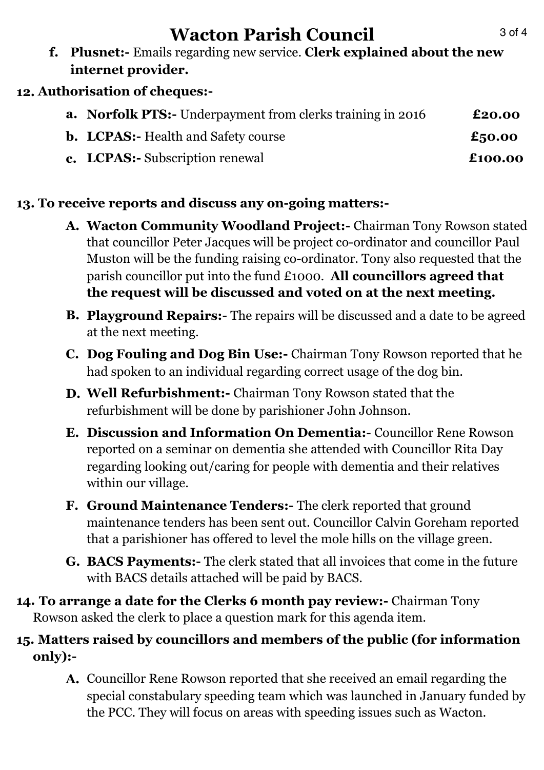# **Wacton Parish Council** 3014

**f. Plusnet:-** Emails regarding new service. **Clerk explained about the new internet provider.** 

#### **12. Authorisation of cheques:-**

| <b>a.</b> Norfolk PTS:- Underpayment from clerks training in 2016 | £20.00  |
|-------------------------------------------------------------------|---------|
| <b>b.</b> LCPAS:- Health and Safety course                        | £50.00  |
| <b>c.</b> LCPAS:- Subscription renewal                            | £100.00 |

#### **13. To receive reports and discuss any on-going matters:-**

- **A. Wacton Community Woodland Project:-** Chairman Tony Rowson stated that councillor Peter Jacques will be project co-ordinator and councillor Paul Muston will be the funding raising co-ordinator. Tony also requested that the parish councillor put into the fund £1000. **All councillors agreed that the request will be discussed and voted on at the next meeting.**
- **B. Playground Repairs:-** The repairs will be discussed and a date to be agreed at the next meeting.
- **C. Dog Fouling and Dog Bin Use:-** Chairman Tony Rowson reported that he had spoken to an individual regarding correct usage of the dog bin.
- **D. Well Refurbishment:-** Chairman Tony Rowson stated that the refurbishment will be done by parishioner John Johnson.
- **E. Discussion and Information On Dementia:-** Councillor Rene Rowson reported on a seminar on dementia she attended with Councillor Rita Day regarding looking out/caring for people with dementia and their relatives within our village.
- **F. Ground Maintenance Tenders:-** The clerk reported that ground maintenance tenders has been sent out. Councillor Calvin Goreham reported that a parishioner has offered to level the mole hills on the village green.
- **G. BACS Payments:-** The clerk stated that all invoices that come in the future with BACS details attached will be paid by BACS.
- **14. To arrange a date for the Clerks 6 month pay review:-** Chairman Tony Rowson asked the clerk to place a question mark for this agenda item.

#### **15. Matters raised by councillors and members of the public (for information only):-**

**A.** Councillor Rene Rowson reported that she received an email regarding the special constabulary speeding team which was launched in January funded by the PCC. They will focus on areas with speeding issues such as Wacton.